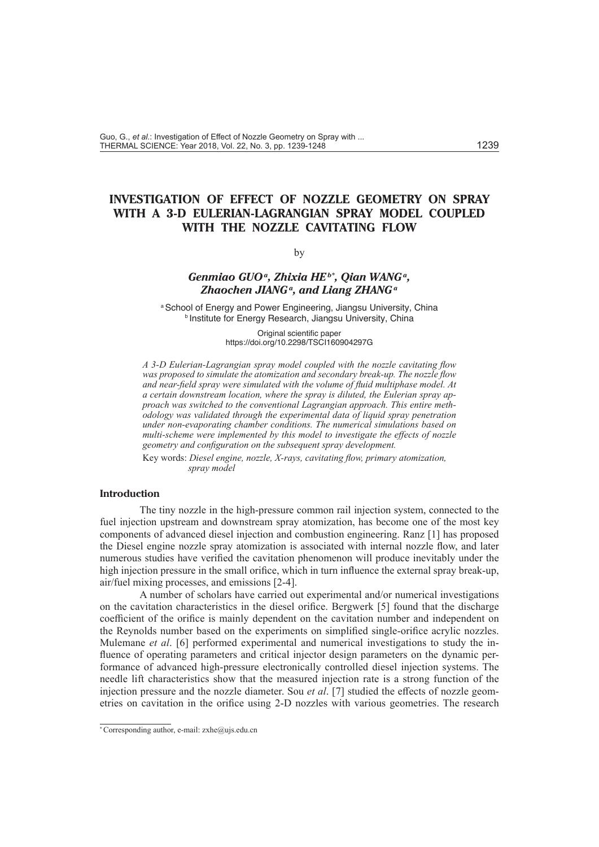# **INVESTIGATION OF EFFECT OF NOZZLE GEOMETRY ON SPRAY WITH A 3-D EULERIAN-LAGRANGIAN SPRAY MODEL COUPLED WITH THE NOZZLE CAVITATING FLOW**

#### by

# *Genmiao GUOa, Zhixia HEb\* , Qian WANGa,*  Zhaochen JIANG<sup>a</sup>, and Liang ZHANG<sup>a</sup>

a School of Energy and Power Engineering, Jiangsu University, China **b Institute for Energy Research, Jiangsu University, China** 

> Original scientific paper https://doi.org/10.2298/TSCI160904297G

*A 3-D Eulerian-Lagrangian spray model coupled with the nozzle cavitating flow was proposed to simulate the atomization and secondary break-up. The nozzle flow and near-field spray were simulated with the volume of fluid multiphase model. At a certain downstream location, where the spray is diluted, the Eulerian spray approach was switched to the conventional Lagrangian approach. This entire methodology was validated through the experimental data of liquid spray penetration under non-evaporating chamber conditions. The numerical simulations based on multi-scheme were implemented by this model to investigate the effects of nozzle geometry and configuration on the subsequent spray development.*

Key words: *Diesel engine, nozzle, X-rays, cavitating flow, primary atomization, spray model*

#### **Introduction**

The tiny nozzle in the high-pressure common rail injection system, connected to the fuel injection upstream and downstream spray atomization, has become one of the most key components of advanced diesel injection and combustion engineering. Ranz [1] has proposed the Diesel engine nozzle spray atomization is associated with internal nozzle flow, and later numerous studies have verified the cavitation phenomenon will produce inevitably under the high injection pressure in the small orifice, which in turn influence the external spray break-up, air/fuel mixing processes, and emissions [2-4].

A number of scholars have carried out experimental and/or numerical investigations on the cavitation characteristics in the diesel orifice. Bergwerk [5] found that the discharge coefficient of the orifice is mainly dependent on the cavitation number and independent on the Reynolds number based on the experiments on simplified single-orifice acrylic nozzles. Mulemane *et al*. [6] performed experimental and numerical investigations to study the influence of operating parameters and critical injector design parameters on the dynamic performance of advanced high-pressure electronically controlled diesel injection systems. The needle lift characteristics show that the measured injection rate is a strong function of the injection pressure and the nozzle diameter. Sou *et al*. [7] studied the effects of nozzle geometries on cavitation in the orifice using 2-D nozzles with various geometries. The research

<sup>\*</sup> Corresponding author, e-mail: zxhe@ujs.edu.cn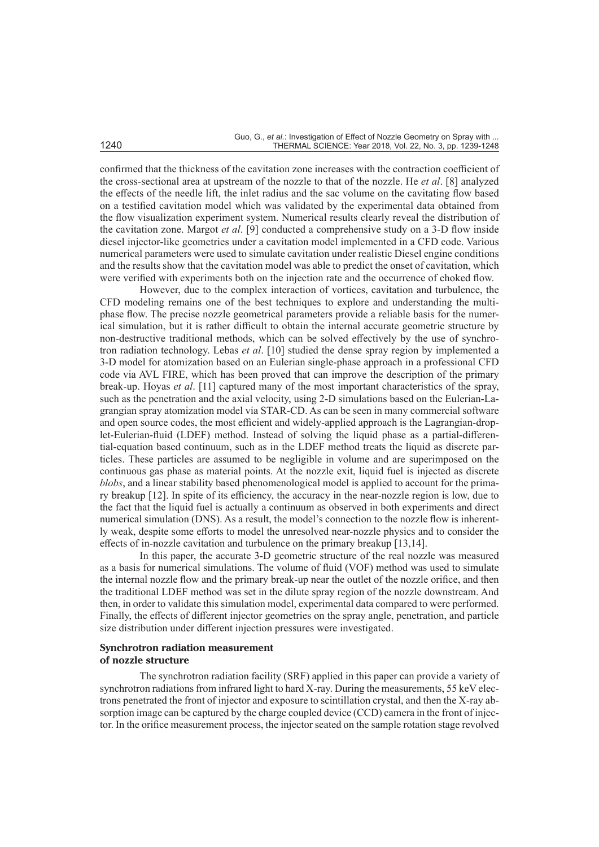confirmed that the thickness of the cavitation zone increases with the contraction coefficient of the cross-sectional area at upstream of the nozzle to that of the nozzle. He *et al*. [8] analyzed the effects of the needle lift, the inlet radius and the sac volume on the cavitating flow based on a testified cavitation model which was validated by the experimental data obtained from the flow visualization experiment system. Numerical results clearly reveal the distribution of the cavitation zone. Margot *et al*. [9] conducted a comprehensive study on a 3-D flow inside diesel injector-like geometries under a cavitation model implemented in a CFD code. Various numerical parameters were used to simulate cavitation under realistic Diesel engine conditions and the results show that the cavitation model was able to predict the onset of cavitation, which were verified with experiments both on the injection rate and the occurrence of choked flow.

However, due to the complex interaction of vortices, cavitation and turbulence, the CFD modeling remains one of the best techniques to explore and understanding the multiphase flow. The precise nozzle geometrical parameters provide a reliable basis for the numerical simulation, but it is rather difficult to obtain the internal accurate geometric structure by non-destructive traditional methods, which can be solved effectively by the use of synchrotron radiation technology. Lebas *et al*. [10] studied the dense spray region by implemented a 3-D model for atomization based on an Eulerian single-phase approach in a professional CFD code via AVL FIRE, which has been proved that can improve the description of the primary break-up. Hoyas *et al*. [11] captured many of the most important characteristics of the spray, such as the penetration and the axial velocity, using 2-D simulations based on the Eulerian-Lagrangian spray atomization model via STAR-CD. As can be seen in many commercial software and open source codes, the most efficient and widely-applied approach is the Lagrangian-droplet-Eulerian-fluid (LDEF) method. Instead of solving the liquid phase as a partial-differential-equation based continuum, such as in the LDEF method treats the liquid as discrete particles. These particles are assumed to be negligible in volume and are superimposed on the continuous gas phase as material points. At the nozzle exit, liquid fuel is injected as discrete *blobs*, and a linear stability based phenomenological model is applied to account for the primary breakup [12]. In spite of its efficiency, the accuracy in the near-nozzle region is low, due to the fact that the liquid fuel is actually a continuum as observed in both experiments and direct numerical simulation (DNS). As a result, the model's connection to the nozzle flow is inherently weak, despite some efforts to model the unresolved near-nozzle physics and to consider the effects of in-nozzle cavitation and turbulence on the primary breakup [13,14].

In this paper, the accurate 3-D geometric structure of the real nozzle was measured as a basis for numerical simulations. The volume of fluid (VOF) method was used to simulate the internal nozzle flow and the primary break-up near the outlet of the nozzle orifice, and then the traditional LDEF method was set in the dilute spray region of the nozzle downstream. And then, in order to validate this simulation model, experimental data compared to were performed. Finally, the effects of different injector geometries on the spray angle, penetration, and particle size distribution under different injection pressures were investigated.

#### **Synchrotron radiation measurement of nozzle structure**

The synchrotron radiation facility (SRF) applied in this paper can provide a variety of synchrotron radiations from infrared light to hard X-ray. During the measurements, 55 keV electrons penetrated the front of injector and exposure to scintillation crystal, and then the X-ray absorption image can be captured by the charge coupled device (CCD) camera in the front of injector. In the orifice measurement process, the injector seated on the sample rotation stage revolved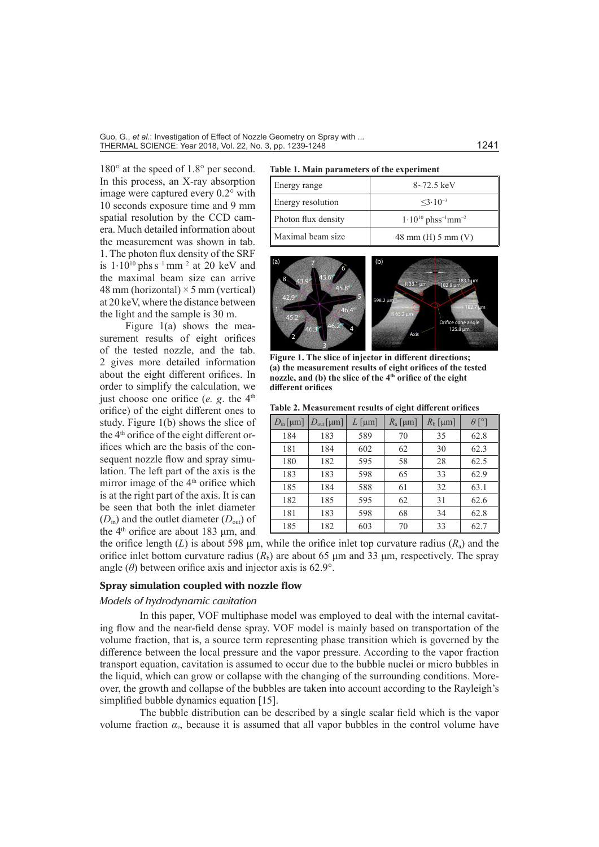180° at the speed of 1.8° per second. In this process, an X-ray absorption image were captured every 0.2° with 10 seconds exposure time and 9 mm spatial resolution by the CCD camera. Much detailed information about the measurement was shown in tab. 1. The photon flux density of the SRF is  $1.10^{10}$  phs s<sup>-1</sup> mm<sup>-2</sup> at 20 keV and the maximal beam size can arrive 48 mm (horizontal)  $\times$  5 mm (vertical) at 20 keV, where the distance between the light and the sample is 30 m.

Figure 1(a) shows the measurement results of eight orifices of the tested nozzle, and the tab. 2 gives more detailed information about the eight different orifices. In order to simplify the calculation, we just choose one orifice (*e. g.* the 4<sup>th</sup> orifice) of the eight different ones to study. Figure 1(b) shows the slice of the 4<sup>th</sup> orifice of the eight different orifices which are the basis of the consequent nozzle flow and spray simulation. The left part of the axis is the mirror image of the 4<sup>th</sup> orifice which is at the right part of the axis. It is can be seen that both the inlet diameter  $(D_{\text{in}})$  and the outlet diameter  $(D_{\text{out}})$  of the 4<sup>th</sup> orifice are about 183 μm, and

#### **Table 1. Main parameters of the experiment**

| Energy range        | $8 - 72.5 \text{ keV}$                          |
|---------------------|-------------------------------------------------|
| Energy resolution   | $<3.10^{-3}$                                    |
| Photon flux density | $1.10^{10}$ phss <sup>-1</sup> mm <sup>-2</sup> |
| Maximal beam size   | 48 mm (H) $5 \text{ mm}$ (V)                    |



**Figure 1. The slice of injector in different directions; (a) the measurement results of eight orifices of the tested nozzle, and (b) the slice of the 4th orifice of the eight different orifices**

#### **Table 2. Measurement results of eight different orifices**

| $D_{\text{in}}\text{[µm]}$ | $D_{\text{out}}$ [µm] | L [µm] | $R_{\rm a}$ [µm] | $R_{\rm b}$ [µm] | $\theta$ [°] |
|----------------------------|-----------------------|--------|------------------|------------------|--------------|
| 184                        | 183                   | 589    | 70               | 35               | 62.8         |
| 181                        | 184                   | 602    | 62               | 30               | 62.3         |
| 180                        | 182                   | 595    | 58               | 28               | 62.5         |
| 183                        | 183                   | 598    | 65               | 33               | 62.9         |
| 185                        | 184                   | 588    | 61               | 32               | 63.1         |
| 182                        | 185                   | 595    | 62               | 31               | 62.6         |
| 181                        | 183                   | 598    | 68               | 34               | 62.8         |
| 185                        | 182                   | 603    | 70               | 33               | 62.7         |

the orifice length (*L*) is about 598  $\mu$ m, while the orifice inlet top curvature radius (*R<sub>a</sub>*) and the orifice inlet bottom curvature radius  $(R<sub>b</sub>)$  are about 65  $\mu$ m and 33  $\mu$ m, respectively. The spray angle  $(\theta)$  between orifice axis and injector axis is 62.9°.

#### **Spray simulation coupled with nozzle flow**

#### *Models of hydrodynamic cavitation*

In this paper, VOF multiphase model was employed to deal with the internal cavitating flow and the near-field dense spray. VOF model is mainly based on transportation of the volume fraction, that is, a source term representing phase transition which is governed by the difference between the local pressure and the vapor pressure. According to the vapor fraction transport equation, cavitation is assumed to occur due to the bubble nuclei or micro bubbles in the liquid, which can grow or collapse with the changing of the surrounding conditions. Moreover, the growth and collapse of the bubbles are taken into account according to the Rayleigh's simplified bubble dynamics equation [15].

The bubble distribution can be described by a single scalar field which is the vapor volume fraction  $\alpha_v$ , because it is assumed that all vapor bubbles in the control volume have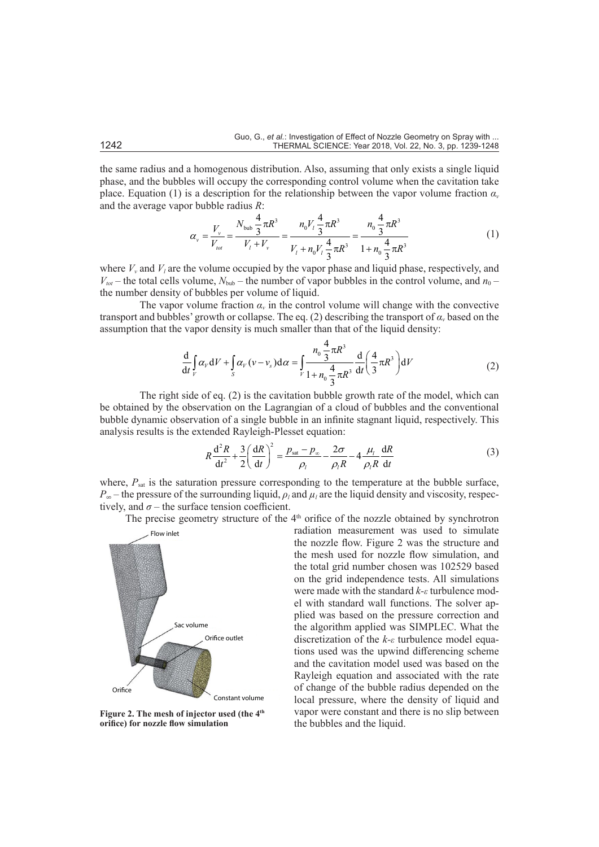the same radius and a homogenous distribution. Also, assuming that only exists a single liquid phase, and the bubbles will occupy the corresponding control volume when the cavitation take place. Equation (1) is a description for the relationship between the vapor volume fraction  $\alpha$ <sup>*v*</sup> and the average vapor bubble radius *R*:

$$
\alpha_{v} = \frac{V_{v}}{V_{tot}} = \frac{N_{\text{bub}} \frac{4}{3} \pi R^{3}}{V_{t} + V_{v}} = \frac{n_{0} V_{t} \frac{4}{3} \pi R^{3}}{V_{t} + n_{0} V_{t} \frac{4}{3} \pi R^{3}} = \frac{n_{0} \frac{4}{3} \pi R^{3}}{1 + n_{0} \frac{4}{3} \pi R^{3}}
$$
(1)

where  $V_\nu$  and  $V_l$  are the volume occupied by the vapor phase and liquid phase, respectively, and  $V_{tot}$  – the total cells volume,  $N_{\text{bub}}$  – the number of vapor bubbles in the control volume, and  $n_0$  – the number density of bubbles per volume of liquid.

The vapor volume fraction  $\alpha$ <sup>*i*</sup> in the control volume will change with the convective transport and bubbles' growth or collapse. The eq. (2) describing the transport of *αv* based on the assumption that the vapor density is much smaller than that of the liquid density:

$$
\frac{d}{dt} \int_{V} \alpha_{V} dV + \int_{S} \alpha_{V} (\nu - \nu_{s}) d\alpha = \int_{V} \frac{n_{0} \frac{4}{3} \pi R^{3}}{1 + n_{0} \frac{4}{3} \pi R^{3}} \frac{d}{dt} \left( \frac{4}{3} \pi R^{3} \right) dV
$$
\n(2)

The right side of eq. (2) is the cavitation bubble growth rate of the model, which can be obtained by the observation on the Lagrangian of a cloud of bubbles and the conventional bubble dynamic observation of a single bubble in an infinite stagnant liquid, respectively. This analysis results is the extended Rayleigh-Plesset equation:

$$
R\frac{\mathrm{d}^2R}{\mathrm{d}t^2} + \frac{3}{2}\left(\frac{\mathrm{d}R}{\mathrm{d}t}\right)^2 = \frac{p_{\text{sat}} - p_{\infty}}{\rho_l} - \frac{2\sigma}{\rho_lR} - 4\frac{\mu_l}{\rho_lR}\frac{\mathrm{d}R}{\mathrm{d}t}
$$
(3)

where,  $P_{\text{sat}}$  is the saturation pressure corresponding to the temperature at the bubble surface,  $P_{\infty}$  – the pressure of the surrounding liquid,  $\rho_l$  and  $\mu_l$  are the liquid density and viscosity, respectively, and  $\sigma$  – the surface tension coefficient.

The precise geometry structure of the  $4<sup>th</sup>$  orifice of the nozzle obtained by synchrotron



**Figure 2. The mesh of injector used (the 4th orifice) for nozzle flow simulation**

radiation measurement was used to simulate the nozzle flow. Figure 2 was the structure and the mesh used for nozzle flow simulation, and the total grid number chosen was 102529 based on the grid independence tests. All simulations were made with the standard *k-ε* turbulence model with standard wall functions. The solver applied was based on the pressure correction and the algorithm applied was SIMPLEC. What the discretization of the *k-ε* turbulence model equations used was the upwind differencing scheme and the cavitation model used was based on the Rayleigh equation and associated with the rate of change of the bubble radius depended on the local pressure, where the density of liquid and vapor were constant and there is no slip between the bubbles and the liquid.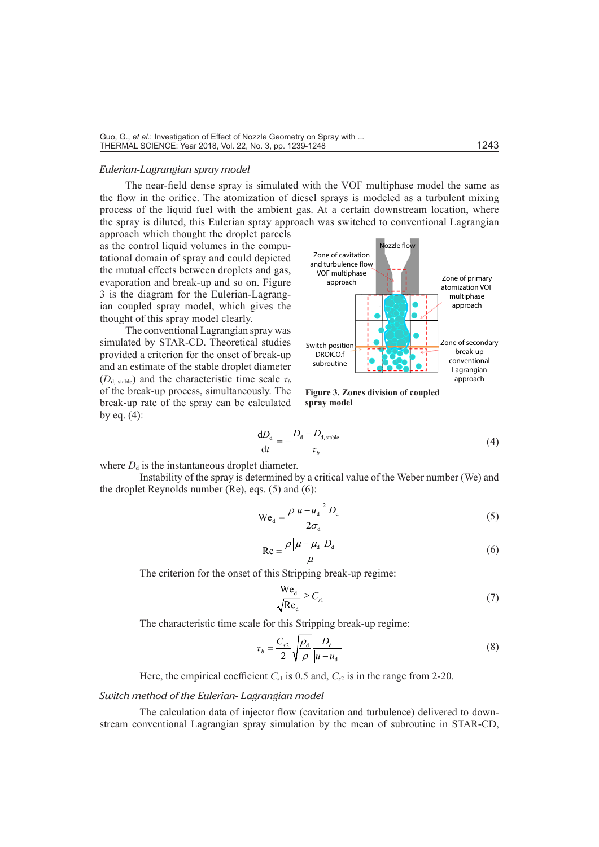#### *Eulerian-Lagrangian spray model*

The near-field dense spray is simulated with the VOF multiphase model the same as the flow in the orifice. The atomization of diesel sprays is modeled as a turbulent mixing process of the liquid fuel with the ambient gas. At a certain downstream location, where the spray is diluted, this Eulerian spray approach was switched to conventional Lagrangian

approach which thought the droplet parcels as the control liquid volumes in the computational domain of spray and could depicted the mutual effects between droplets and gas, evaporation and break-up and so on. Figure 3 is the diagram for the Eulerian-Lagrangian coupled spray model, which gives the thought of this spray model clearly.

The conventional Lagrangian spray was simulated by STAR-CD. Theoretical studies provided a criterion for the onset of break-up and an estimate of the stable droplet diameter  $(D_d, \text{stable})$  and the characteristic time scale  $\tau_b$ of the break-up process, simultaneously. The break-up rate of the spray can be calculated by eq. (4):



**Figure 3. Zones division of coupled spray model**

$$
\frac{dD_{\rm d}}{dt} = -\frac{D_{\rm d} - D_{\rm d, stable}}{\tau_b} \tag{4}
$$

where  $D_d$  is the instantaneous droplet diameter.

Instability of the spray is determined by a critical value of the Weber number (We) and the droplet Reynolds number (Re), eqs. (5) and (6):

$$
We_{d} = \frac{\rho |u - u_{d}|^{2} D_{d}}{2\sigma_{d}}
$$
\n
$$
(5)
$$

$$
Re = \frac{\rho |\mu - \mu_d | D_d}{\mu} \tag{6}
$$

The criterion for the onset of this Stripping break-up regime:

$$
\frac{\text{We}_{\text{d}}}{\sqrt{\text{Re}_{\text{d}}}} \ge C_{s1} \tag{7}
$$

The characteristic time scale for this Stripping break-up regime:

$$
\tau_b = \frac{C_{s2}}{2} \sqrt{\frac{\rho_{\rm d}}{\rho}} \frac{D_{\rm d}}{|u - u_{\rm d}|}\tag{8}
$$

Here, the empirical coefficient  $C_{s1}$  is 0.5 and,  $C_{s2}$  is in the range from 2-20.

#### *Switch method of the Eulerian- Lagrangian model*

The calculation data of injector flow (cavitation and turbulence) delivered to downstream conventional Lagrangian spray simulation by the mean of subroutine in STAR-CD,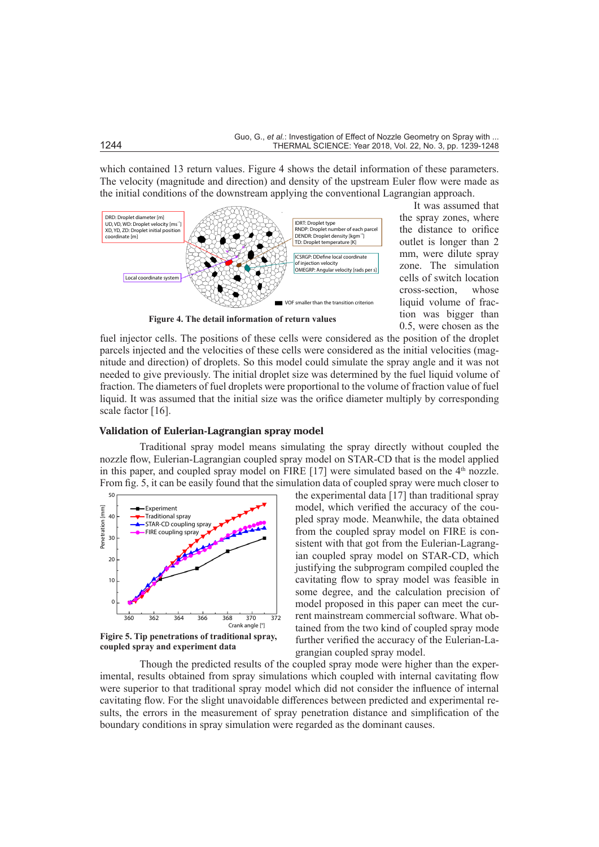which contained 13 return values. Figure 4 shows the detail information of these parameters. The velocity (magnitude and direction) and density of the upstream Euler flow were made as the initial conditions of the downstream applying the conventional Lagrangian approach.



**Figure 4. The detail information of return values**

It was assumed that the spray zones, where the distance to orifice outlet is longer than 2 mm, were dilute spray zone. The simulation cells of switch location cross-section, whose liquid volume of fraction was bigger than 0.5, were chosen as the

fuel injector cells. The positions of these cells were considered as the position of the droplet parcels injected and the velocities of these cells were considered as the initial velocities (magnitude and direction) of droplets. So this model could simulate the spray angle and it was not needed to give previously. The initial droplet size was determined by the fuel liquid volume of fraction. The diameters of fuel droplets were proportional to the volume of fraction value of fuel liquid. It was assumed that the initial size was the orifice diameter multiply by corresponding scale factor [16].

#### **Validation of Eulerian-Lagrangian spray model**

Traditional spray model means simulating the spray directly without coupled the nozzle flow, Eulerian-Lagrangian coupled spray model on STAR-CD that is the model applied in this paper, and coupled spray model on FIRE [17] were simulated based on the  $4<sup>th</sup>$  nozzle. From fig. 5, it can be easily found that the simulation data of coupled spray were much closer to



**coupled spray and experiment data**

the experimental data [17] than traditional spray model, which verified the accuracy of the coupled spray mode. Meanwhile, the data obtained from the coupled spray model on FIRE is consistent with that got from the Eulerian-Lagrangian coupled spray model on STAR-CD, which justifying the subprogram compiled coupled the cavitating flow to spray model was feasible in some degree, and the calculation precision of model proposed in this paper can meet the current mainstream commercial software. What obtained from the two kind of coupled spray mode further verified the accuracy of the Eulerian-Lagrangian coupled spray model.

Though the predicted results of the coupled spray mode were higher than the experimental, results obtained from spray simulations which coupled with internal cavitating flow were superior to that traditional spray model which did not consider the influence of internal cavitating flow. For the slight unavoidable differences between predicted and experimental results, the errors in the measurement of spray penetration distance and simplification of the boundary conditions in spray simulation were regarded as the dominant causes.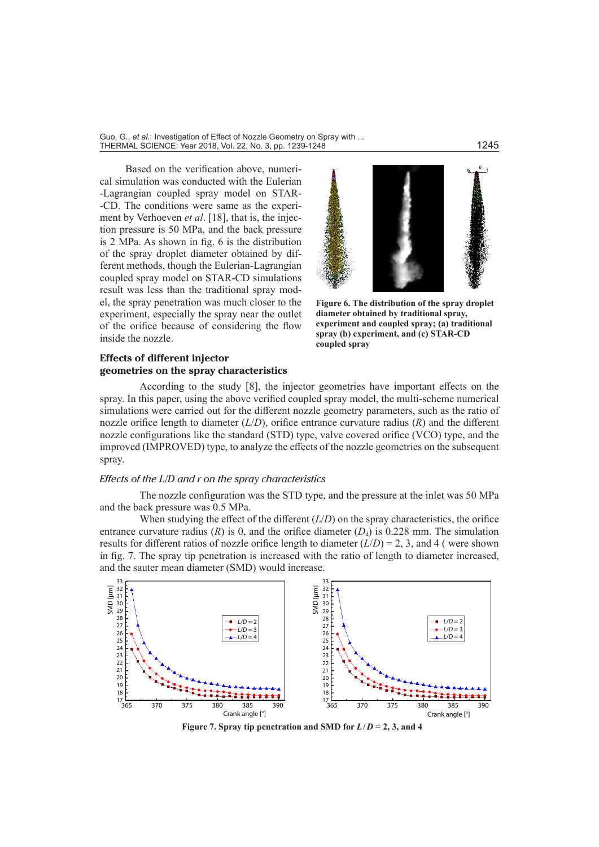Guo, G., *et al.*: Investigation of Effect of Nozzle Geometry on Spray with ... <u>oud, or, or and any coupledge of the second of the secondary of Spanja and the second of the second of the second<br>THERMAL SCIENCE: Year 2018, Vol. 22, No. 3, pp. 1239-1248</u>

Based on the verification above, numerical simulation was conducted with the Eulerian -Lagrangian coupled spray model on STAR- -CD. The conditions were same as the experiment by Verhoeven *et al*. [18], that is, the injection pressure is 50 MPa, and the back pressure is 2 MPa. As shown in fig. 6 is the distribution of the spray droplet diameter obtained by different methods, though the Eulerian-Lagrangian coupled spray model on STAR-CD simulations result was less than the traditional spray model, the spray penetration was much closer to the experiment, especially the spray near the outlet of the orifice because of considering the flow inside the nozzle.



**Figure 6. The distribution of the spray droplet diameter obtained by traditional spray, experiment and coupled spray; (a) traditional spray (b) experiment, and (c) STAR-CD coupled spray**

## **Effects of different injector geometries on the spray characteristics**

According to the study [8], the injector geometries have important effects on the spray. In this paper, using the above verified coupled spray model, the multi-scheme numerical simulations were carried out for the different nozzle geometry parameters, such as the ratio of nozzle orifice length to diameter  $(L/D)$ , orifice entrance curvature radius  $(R)$  and the different nozzle configurations like the standard (STD) type, valve covered orifice (VCO) type, and the improved (IMPROVED) type, to analyze the effects of the nozzle geometries on the subsequent spray.

## *Effects of the L/D and r on the spray characteristics*

The nozzle configuration was the STD type, and the pressure at the inlet was 50 MPa and the back pressure was 0.5 MPa.

When studying the effect of the different  $(L/D)$  on the spray characteristics, the orifice entrance curvature radius (*R*) is 0, and the orifice diameter ( $D<sub>d</sub>$ ) is 0.228 mm. The simulation results for different ratios of nozzle orifice length to diameter  $(L/D) = 2$ , 3, and 4 (were shown in fig. 7. The spray tip penetration is increased with the ratio of length to diameter increased, and the sauter mean diameter (SMD) would increase.



**Figure 7. Spray tip penetration and SMD for**  $L/D = 2, 3$ **, and 4**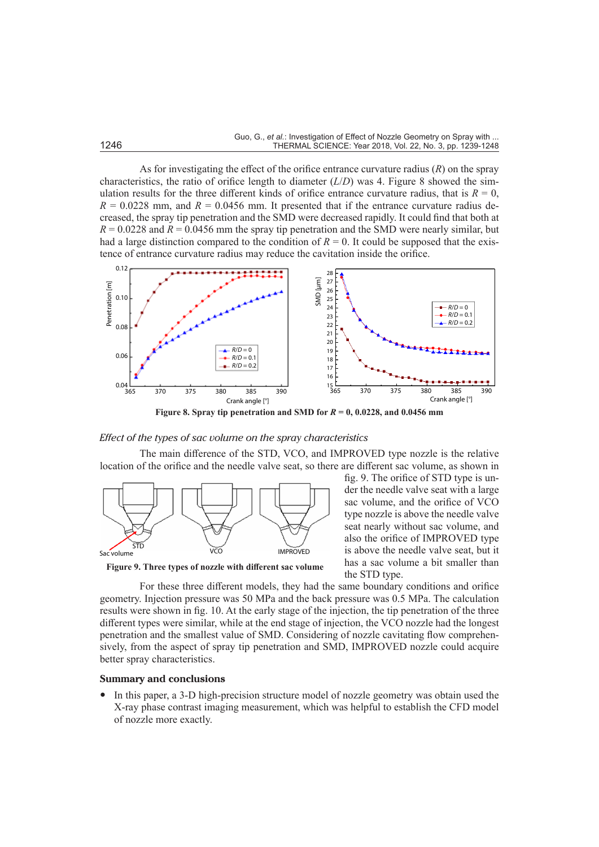As for investigating the effect of the orifice entrance curvature radius (*R*) on the spray characteristics, the ratio of orifice length to diameter  $(L/D)$  was 4. Figure 8 showed the simulation results for the three different kinds of orifice entrance curvature radius, that is  $R = 0$ ,  $R = 0.0228$  mm, and  $R = 0.0456$  mm. It presented that if the entrance curvature radius decreased, the spray tip penetration and the SMD were decreased rapidly. It could find that both at  $R = 0.0228$  and  $R = 0.0456$  mm the spray tip penetration and the SMD were nearly similar, but had a large distinction compared to the condition of  $R = 0$ . It could be supposed that the existence of entrance curvature radius may reduce the cavitation inside the orifice.



**Figure 8. Spray tip penetration and SMD for**  $R = 0$ **, 0.0228, and 0.0456 mm** 

#### *Effect of the types of sac volume on the spray characteristics*

The main difference of the STD, VCO, and IMPROVED type nozzle is the relative location of the orifice and the needle valve seat, so there are different sac volume, as shown in



**Figure 9. Three types of nozzle with different sac volume**

fig. 9. The orifice of STD type is under the needle valve seat with a large sac volume, and the orifice of VCO type nozzle is above the needle valve seat nearly without sac volume, and also the orifice of IMPROVED type is above the needle valve seat, but it has a sac volume a bit smaller than the STD type.

For these three different models, they had the same boundary conditions and orifice geometry. Injection pressure was 50 MPa and the back pressure was 0.5 MPa. The calculation results were shown in fig. 10. At the early stage of the injection, the tip penetration of the three different types were similar, while at the end stage of injection, the VCO nozzle had the longest penetration and the smallest value of SMD. Considering of nozzle cavitating flow comprehensively, from the aspect of spray tip penetration and SMD, IMPROVED nozzle could acquire better spray characteristics.

#### **Summary and conclusions**

• In this paper, a 3-D high-precision structure model of nozzle geometry was obtain used the X-ray phase contrast imaging measurement, which was helpful to establish the CFD model of nozzle more exactly.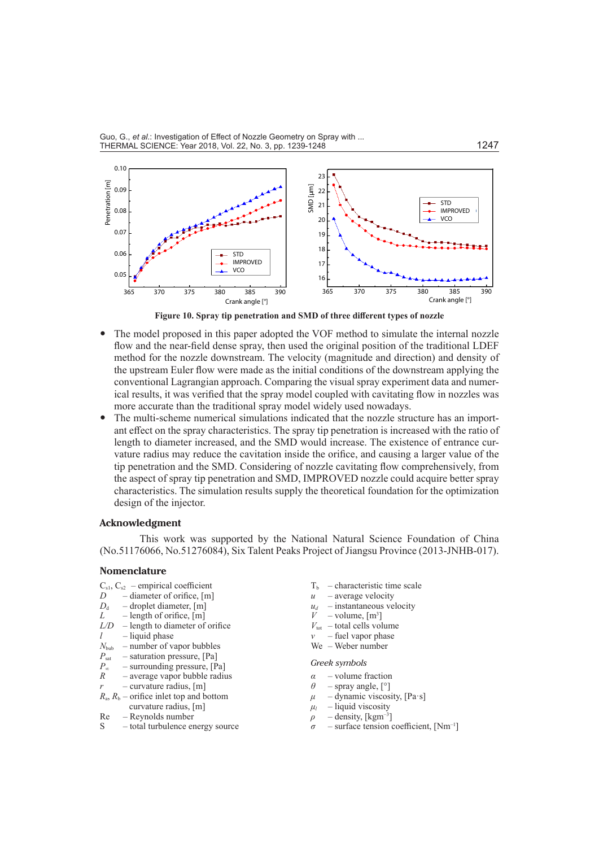

**Figure 10. Spray tip penetration and SMD of three different types of nozzle**

- The model proposed in this paper adopted the VOF method to simulate the internal nozzle flow and the near-field dense spray, then used the original position of the traditional LDEF method for the nozzle downstream. The velocity (magnitude and direction) and density of the upstream Euler flow were made as the initial conditions of the downstream applying the conventional Lagrangian approach. Comparing the visual spray experiment data and numerical results, it was verified that the spray model coupled with cavitating flow in nozzles was more accurate than the traditional spray model widely used nowadays.
- The multi-scheme numerical simulations indicated that the nozzle structure has an important effect on the spray characteristics. The spray tip penetration is increased with the ratio of length to diameter increased, and the SMD would increase. The existence of entrance curvature radius may reduce the cavitation inside the orifice, and causing a larger value of the tip penetration and the SMD. Considering of nozzle cavitating flow comprehensively, from the aspect of spray tip penetration and SMD, IMPROVED nozzle could acquire better spray characteristics. The simulation results supply the theoretical foundation for the optimization design of the injector.

#### **Acknowledgment**

This work was supported by the National Natural Science Foundation of China (No.51176066, No.51276084), Six Talent Peaks Project of Jiangsu Province (2013-JNHB-017).

#### **Nomenclature**

- $C_{s1}$ ,  $C_{s2}$  empirical coefficient
- *D* diameter of orifice, [m]<br>*D<sub>d</sub>* droplet diameter, [m]
- droplet diameter, [m]
- $L$  length of orifice, [m]
- *L/D* length to diameter of orifice  $l$  – liquid phase
- 
- $N_{\text{bub}}$  number of vapor bubbles<br> $P_{\text{cav}}$  saturation pressure, [Pa]
- $P_{\text{sat}}$  saturation pressure, [Pa]<br> $P_{\infty}$  surrounding pressure, [P − surrounding pressure, [Pa]
- 
- *R* average vapor bubble radius
- $r =$  curvature radius, [m]
- $R_a$ ,  $R_b$  orifice inlet top and bottom curvature radius, [m]
- Re Reynolds number
- S total turbulence energy source
- $T<sub>b</sub>$  characteristic time scale
- $u$  average velocity
- $u_d$  instantaneous velocity<br>  $V$  volume  $\text{Im}^{3}$
- $V$  volume,  $[m^3]$
- $V_{\text{tot}}$  total cells volume
- $v$  fuel vapor phase
- We Weber number

#### *Greek symbols*

- *α* volume fraction<br>*A* spray angle  $[°]$
- *θ* spray angle, [°]
- $\mu$  dynamic viscosity, [Pa·s]
- $\mu$ <sup>*l*</sup> liquid viscosity  $\rho$  – density, [kgm<sup>-3]</sup>
- $\sigma$  surface tension coefficient,  $[Nm^{-1}]$ 
	-